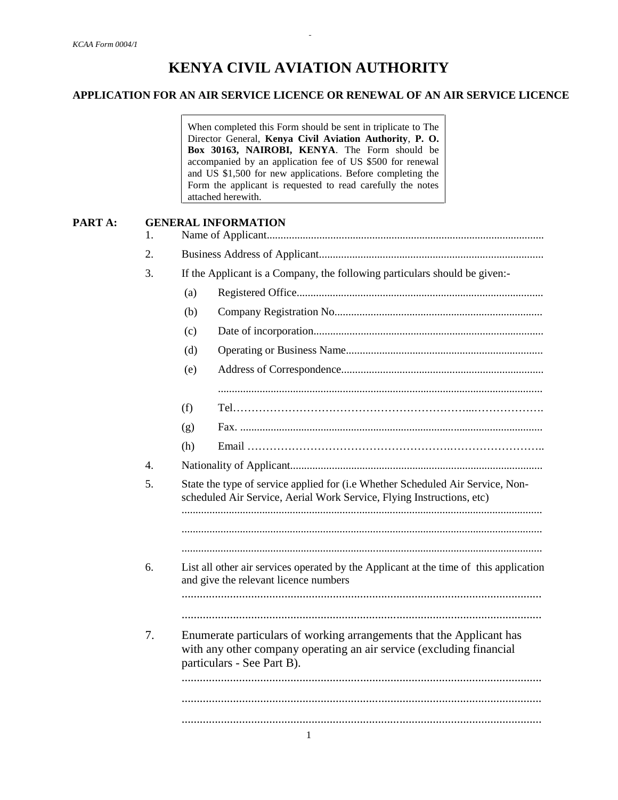# **KENYA CIVIL AVIATION AUTHORITY**

### **APPLICATION FOR AN AIR SERVICE LICENCE OR RENEWAL OF AN AIR SERVICE LICENCE**

*-*

When completed this Form should be sent in triplicate to The Director General, **Kenya Civil Aviation Authority**, **P. O. Box 30163, NAIROBI, KENYA**. The Form should be accompanied by an application fee of US \$500 for renewal and US \$1,500 for new applications. Before completing the Form the applicant is requested to read carefully the notes attached herewith.

# **PART A: GENERAL INFORMATION** 1. Name of Applicant.................................................................................................... 2. Business Address of Applicant................................................................................. 3. If the Applicant is a Company, the following particulars should be given:- (a) Registered Office......................................................................................... (b) Company Registration No........................................................................... (c) Date of incorporation................................................................................... (d) Operating or Business Name....................................................................... (e) Address of Correspondence......................................................................... ..................................................................................................................... (f) Tel………………………………………………………...………………. (g) Fax. ............................................................................................................. (h) Email ……………………………………………….…………………….. 4. Nationality of Applicant........................................................................................... 5. State the type of service applied for (i.e Whether Scheduled Air Service, Non scheduled Air Service, Aerial Work Service, Flying Instructions, etc) .................................................................................................................................. .................................................................................................................................. .................................................................................................................................. 6. List all other air services operated by the Applicant at the time of this application and give the relevant licence numbers ....................................................................................................................... ....................................................................................................................... 7. Enumerate particulars of working arrangements that the Applicant has with any other company operating an air service (excluding financial particulars - See Part B). ....................................................................................................................... ....................................................................................................................... .......................................................................................................................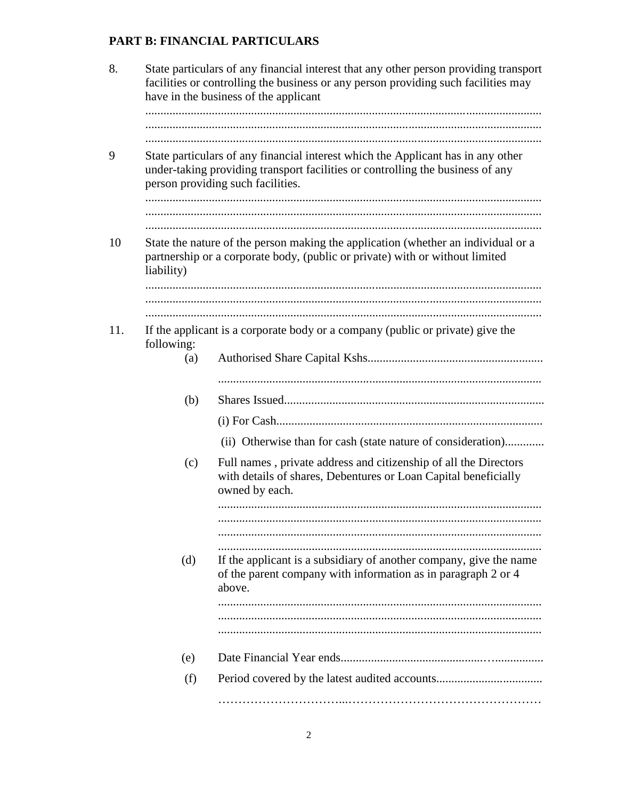# PART B: FINANCIAL PARTICULARS

| 8.  | State particulars of any financial interest that any other person providing transport<br>facilities or controlling the business or any person providing such facilities may<br>have in the business of the applicant |                                                                                                                                                                   |  |  |  |  |
|-----|----------------------------------------------------------------------------------------------------------------------------------------------------------------------------------------------------------------------|-------------------------------------------------------------------------------------------------------------------------------------------------------------------|--|--|--|--|
|     |                                                                                                                                                                                                                      |                                                                                                                                                                   |  |  |  |  |
|     | State particulars of any financial interest which the Applicant has in any other<br>under-taking providing transport facilities or controlling the business of any<br>person providing such facilities.              |                                                                                                                                                                   |  |  |  |  |
| 10  | liability)                                                                                                                                                                                                           | State the nature of the person making the application (whether an individual or a<br>partnership or a corporate body, (public or private) with or without limited |  |  |  |  |
|     |                                                                                                                                                                                                                      |                                                                                                                                                                   |  |  |  |  |
| 11. | following:<br>(a)                                                                                                                                                                                                    | If the applicant is a corporate body or a company (public or private) give the                                                                                    |  |  |  |  |
|     | (b)                                                                                                                                                                                                                  |                                                                                                                                                                   |  |  |  |  |
|     |                                                                                                                                                                                                                      |                                                                                                                                                                   |  |  |  |  |
|     |                                                                                                                                                                                                                      | (ii) Otherwise than for cash (state nature of consideration)                                                                                                      |  |  |  |  |
|     | (c)                                                                                                                                                                                                                  | Full names, private address and citizenship of all the Directors<br>with details of shares, Debentures or Loan Capital beneficially<br>owned by each.             |  |  |  |  |
|     |                                                                                                                                                                                                                      |                                                                                                                                                                   |  |  |  |  |
|     | (d)                                                                                                                                                                                                                  | If the applicant is a subsidiary of another company, give the name<br>of the parent company with information as in paragraph 2 or 4<br>above.                     |  |  |  |  |
|     |                                                                                                                                                                                                                      |                                                                                                                                                                   |  |  |  |  |
|     | (e)                                                                                                                                                                                                                  |                                                                                                                                                                   |  |  |  |  |
|     | (f)                                                                                                                                                                                                                  |                                                                                                                                                                   |  |  |  |  |
|     |                                                                                                                                                                                                                      |                                                                                                                                                                   |  |  |  |  |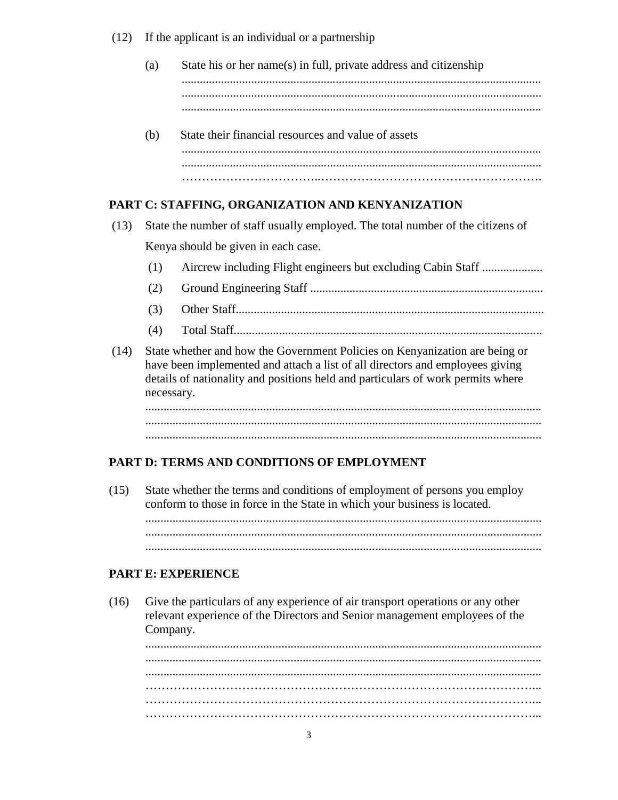$(12)$ If the applicant is an individual or a partnership

- $(a)$ State his or her name(s) in full, private address and citizenship
- State their financial resources and value of assets (b)

### PART C: STAFFING, ORGANIZATION AND KENYANIZATION

- $(13)$ State the number of staff usually employed. The total number of the citizens of Kenya should be given in each case.
	- Aircrew including Flight engineers but excluding Cabin Staff ....................  $(1)$
	- $(2)$
	- $(3)$
	- $(4)$
- $(14)$ State whether and how the Government Policies on Kenyanization are being or have been implemented and attach a list of all directors and employees giving details of nationality and positions held and particulars of work permits where necessary.

# **PART D: TERMS AND CONDITIONS OF EMPLOYMENT**

 $(15)$ State whether the terms and conditions of employment of persons you employ conform to those in force in the State in which your business is located. 

### **PART E: EXPERIENCE**

 $(16)$ Give the particulars of any experience of air transport operations or any other relevant experience of the Directors and Senior management employees of the Company.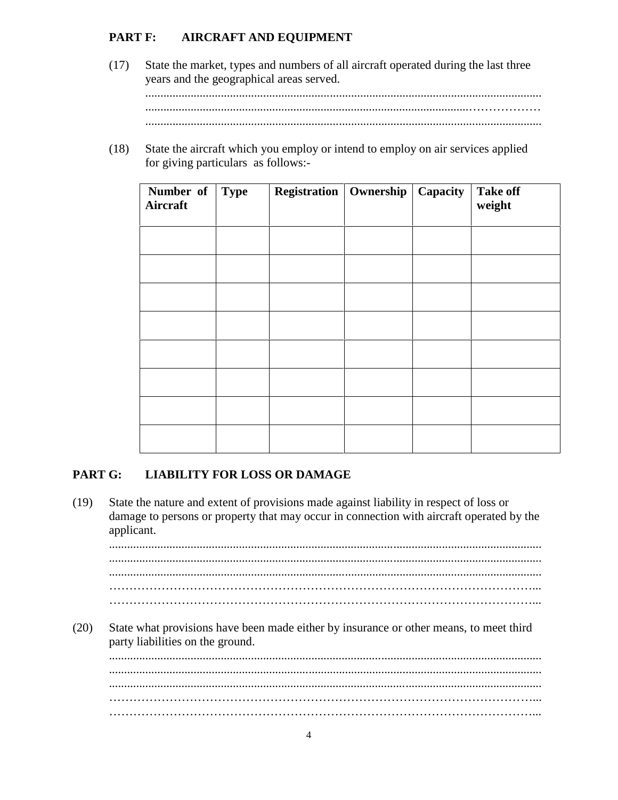#### **PART F: AIRCRAFT AND EQUIPMENT**

- $(17)$ State the market, types and numbers of all aircraft operated during the last three years and the geographical areas served.
- $(18)$ State the aircraft which you employ or intend to employ on air services applied for giving particulars as follows:-

| Number of<br>Aircraft | <b>Type</b> | <b>Registration</b>   Ownership | Capacity | <b>Take off</b><br>weight |
|-----------------------|-------------|---------------------------------|----------|---------------------------|
|                       |             |                                 |          |                           |
|                       |             |                                 |          |                           |
|                       |             |                                 |          |                           |
|                       |             |                                 |          |                           |
|                       |             |                                 |          |                           |
|                       |             |                                 |          |                           |
|                       |             |                                 |          |                           |
|                       |             |                                 |          |                           |

#### PART G: **LIABILITY FOR LOSS OR DAMAGE**

 $(19)$ State the nature and extent of provisions made against liability in respect of loss or damage to persons or property that may occur in connection with aircraft operated by the applicant.  $(20)$ State what provisions have been made either by insurance or other means, to meet third party liabilities on the ground.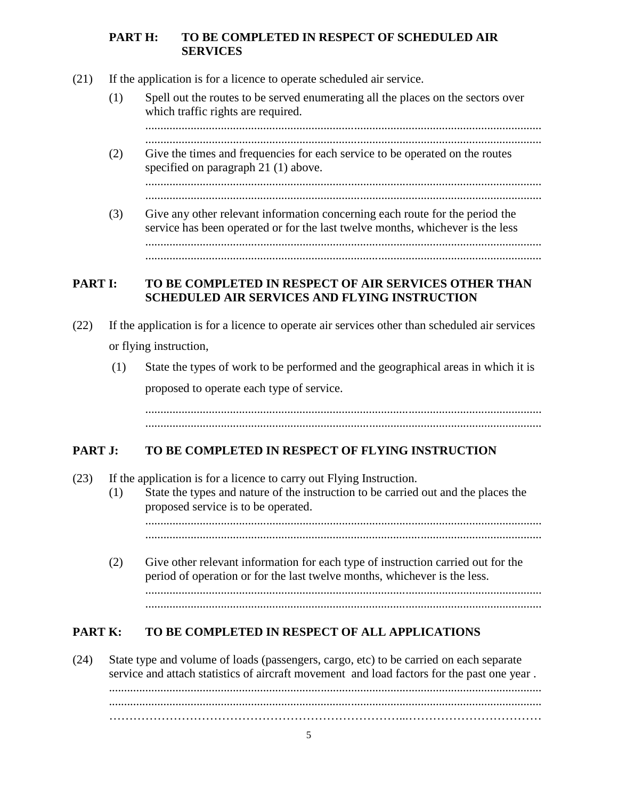### **PART H: TO BE COMPLETED IN RESPECT OF SCHEDULED AIR SERVICES**

- (21) If the application is for a licence to operate scheduled air service.
	- (1) Spell out the routes to be served enumerating all the places on the sectors over which traffic rights are required.

................................................................................................................................... ...................................................................................................................................

(2) Give the times and frequencies for each service to be operated on the routes specified on paragraph 21 (1) above.

................................................................................................................................... ...................................................................................................................................

(3) Give any other relevant information concerning each route for the period the service has been operated or for the last twelve months, whichever is the less ................................................................................................................................... ...................................................................................................................................

### **PART I: TO BE COMPLETED IN RESPECT OF AIR SERVICES OTHER THAN SCHEDULED AIR SERVICES AND FLYING INSTRUCTION**

- (22) If the application is for a licence to operate air services other than scheduled air services or flying instruction,
	- (1) State the types of work to be performed and the geographical areas in which it is proposed to operate each type of service.

................................................................................................................................... ...................................................................................................................................

# **PART J: TO BE COMPLETED IN RESPECT OF FLYING INSTRUCTION**

- (23) If the application is for a licence to carry out Flying Instruction.
	- (1) State the types and nature of the instruction to be carried out and the places the proposed service is to be operated. ...................................................................................................................................

...................................................................................................................................

(2) Give other relevant information for each type of instruction carried out for the period of operation or for the last twelve months, whichever is the less. ................................................................................................................................... ...................................................................................................................................

# **PART K: TO BE COMPLETED IN RESPECT OF ALL APPLICATIONS**

(24) State type and volume of loads (passengers, cargo, etc) to be carried on each separate service and attach statistics of aircraft movement and load factors for the past one year . ............................................................................................................................................... ............................................................................................................................................... ………………………………………………………………...……………………………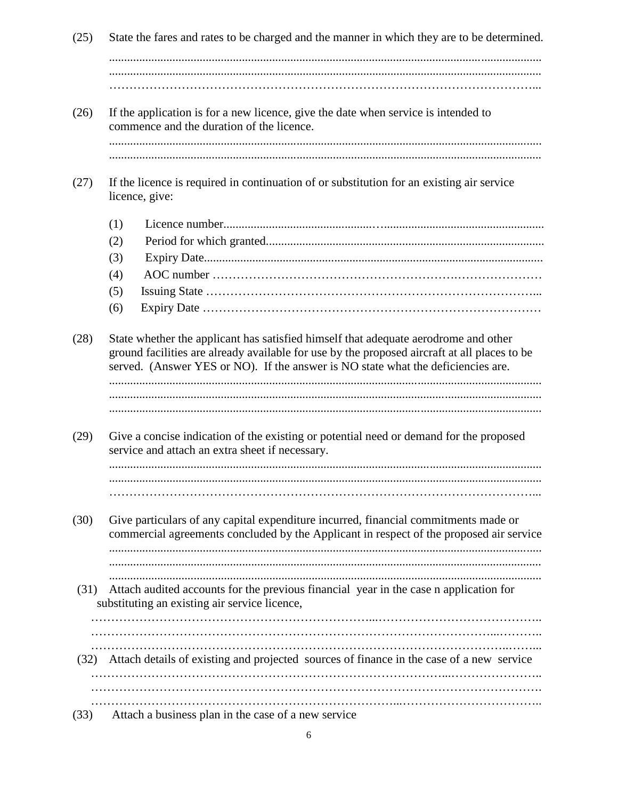$(25)$ State the fares and rates to be charged and the manner in which they are to be determined. If the application is for a new licence, give the date when service is intended to  $(26)$ commence and the duration of the licence.  $(27)$ If the licence is required in continuation of or substitution for an existing air service licence, give:  $(1)$  $(2)$  $(3)$  $(4)$  $(5)$  $(6)$ State whether the applicant has satisfied himself that adequate aerodrome and other  $(28)$ ground facilities are already available for use by the proposed aircraft at all places to be served. (Answer YES or NO). If the answer is NO state what the deficiencies are.  $(29)$ Give a concise indication of the existing or potential need or demand for the proposed service and attach an extra sheet if necessary.  $(30)$ Give particulars of any capital expenditure incurred, financial commitments made or commercial agreements concluded by the Applicant in respect of the proposed air service (31) Attach audited accounts for the previous financial year in the case n application for substituting an existing air service licence, (32) Attach details of existing and projected sources of finance in the case of a new service 

Attach a business plan in the case of a new service  $(33)$